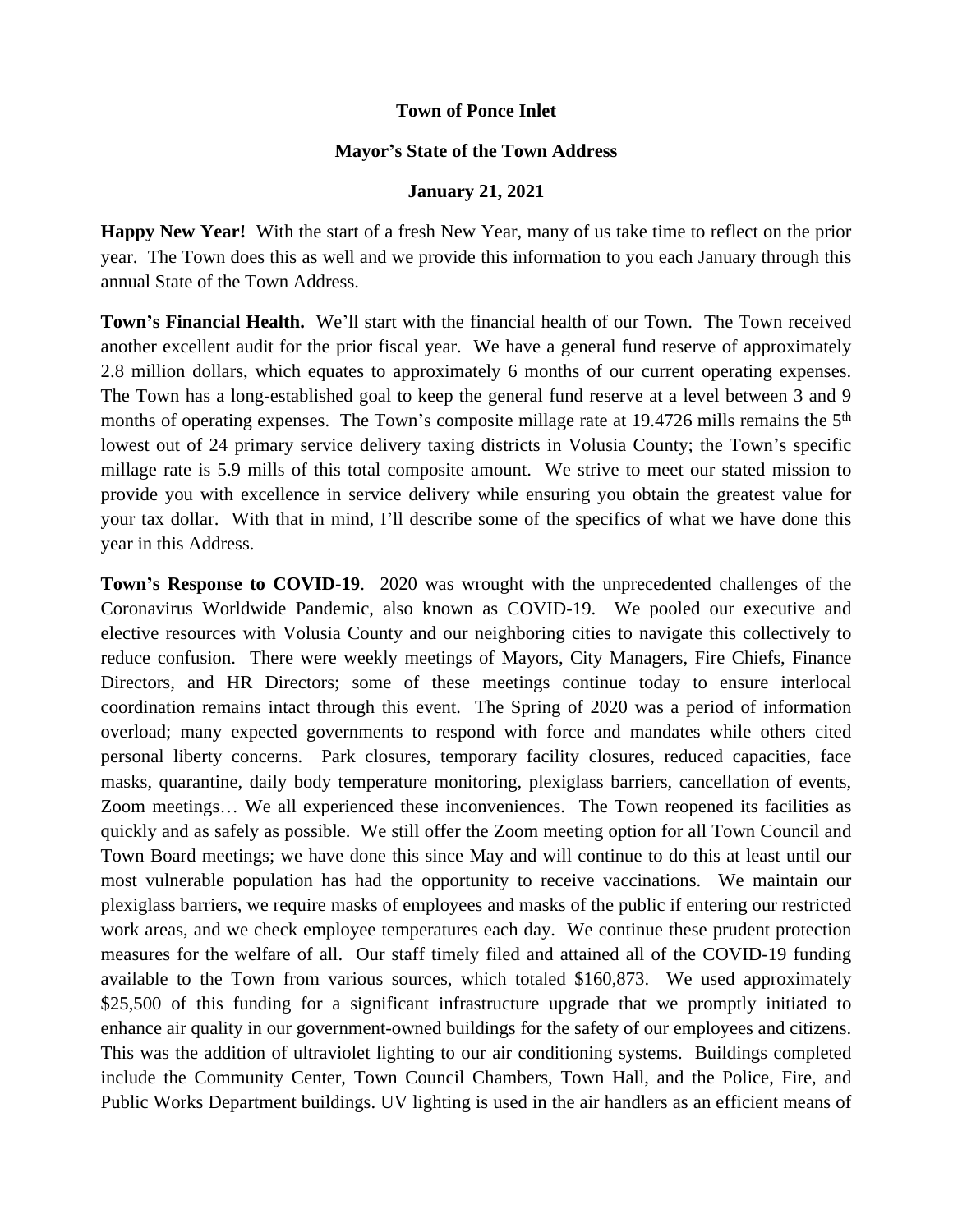## **Town of Ponce Inlet**

## **Mayor's State of the Town Address**

## **January 21, 2021**

**Happy New Year!** With the start of a fresh New Year, many of us take time to reflect on the prior year. The Town does this as well and we provide this information to you each January through this annual State of the Town Address.

**Town's Financial Health.** We'll start with the financial health of our Town. The Town received another excellent audit for the prior fiscal year. We have a general fund reserve of approximately 2.8 million dollars, which equates to approximately 6 months of our current operating expenses. The Town has a long-established goal to keep the general fund reserve at a level between 3 and 9 months of operating expenses. The Town's composite millage rate at 19.4726 mills remains the 5<sup>th</sup> lowest out of 24 primary service delivery taxing districts in Volusia County; the Town's specific millage rate is 5.9 mills of this total composite amount. We strive to meet our stated mission to provide you with excellence in service delivery while ensuring you obtain the greatest value for your tax dollar. With that in mind, I'll describe some of the specifics of what we have done this year in this Address.

**Town's Response to COVID-19**. 2020 was wrought with the unprecedented challenges of the Coronavirus Worldwide Pandemic, also known as COVID-19. We pooled our executive and elective resources with Volusia County and our neighboring cities to navigate this collectively to reduce confusion. There were weekly meetings of Mayors, City Managers, Fire Chiefs, Finance Directors, and HR Directors; some of these meetings continue today to ensure interlocal coordination remains intact through this event. The Spring of 2020 was a period of information overload; many expected governments to respond with force and mandates while others cited personal liberty concerns. Park closures, temporary facility closures, reduced capacities, face masks, quarantine, daily body temperature monitoring, plexiglass barriers, cancellation of events, Zoom meetings… We all experienced these inconveniences. The Town reopened its facilities as quickly and as safely as possible. We still offer the Zoom meeting option for all Town Council and Town Board meetings; we have done this since May and will continue to do this at least until our most vulnerable population has had the opportunity to receive vaccinations. We maintain our plexiglass barriers, we require masks of employees and masks of the public if entering our restricted work areas, and we check employee temperatures each day. We continue these prudent protection measures for the welfare of all. Our staff timely filed and attained all of the COVID-19 funding available to the Town from various sources, which totaled \$160,873. We used approximately \$25,500 of this funding for a significant infrastructure upgrade that we promptly initiated to enhance air quality in our government-owned buildings for the safety of our employees and citizens. This was the addition of ultraviolet lighting to our air conditioning systems. Buildings completed include the Community Center, Town Council Chambers, Town Hall, and the Police, Fire, and Public Works Department buildings. UV lighting is used in the air handlers as an efficient means of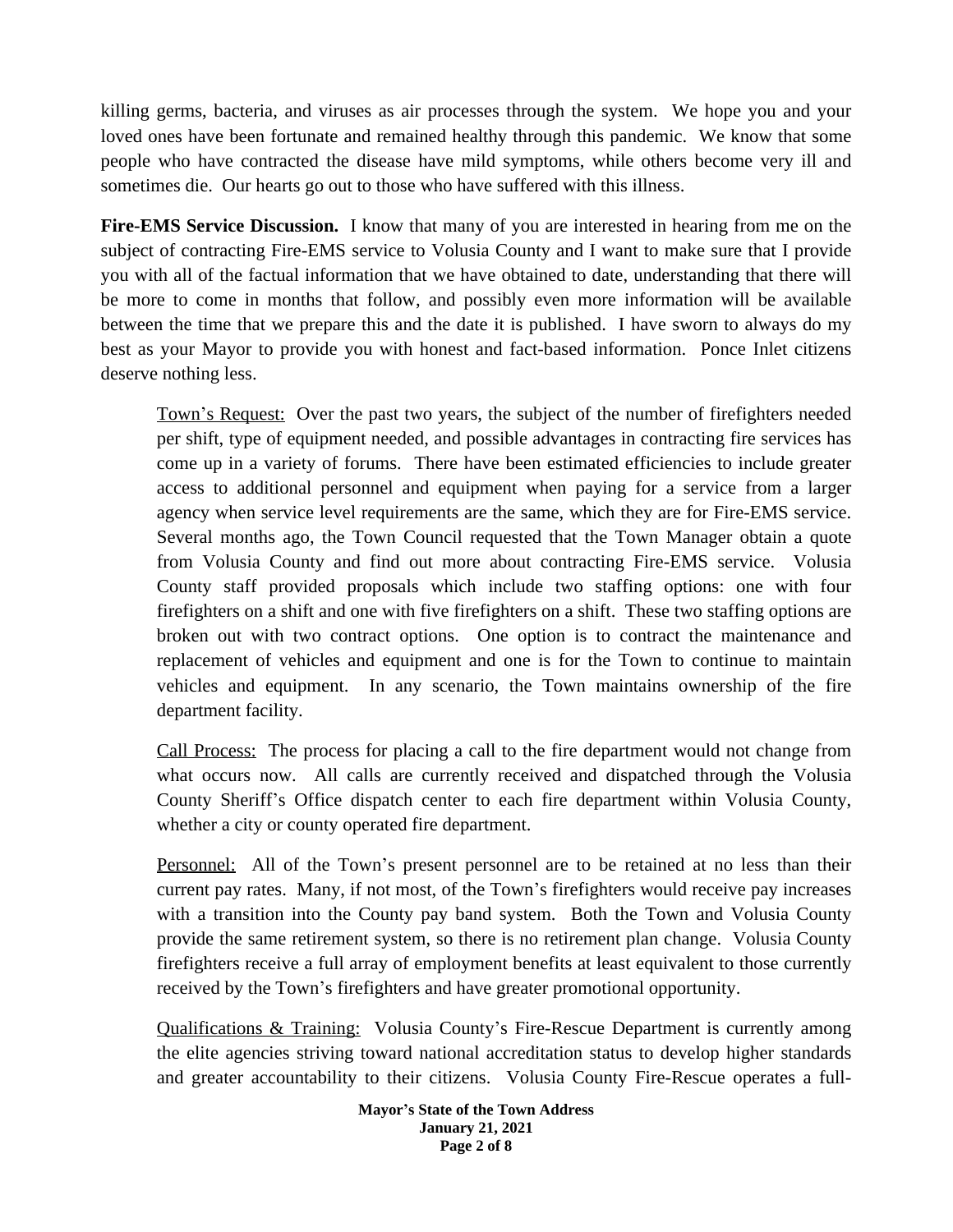killing germs, bacteria, and viruses as air processes through the system. We hope you and your loved ones have been fortunate and remained healthy through this pandemic. We know that some people who have contracted the disease have mild symptoms, while others become very ill and sometimes die. Our hearts go out to those who have suffered with this illness.

**Fire-EMS Service Discussion.** I know that many of you are interested in hearing from me on the subject of contracting Fire-EMS service to Volusia County and I want to make sure that I provide you with all of the factual information that we have obtained to date, understanding that there will be more to come in months that follow, and possibly even more information will be available between the time that we prepare this and the date it is published. I have sworn to always do my best as your Mayor to provide you with honest and fact-based information. Ponce Inlet citizens deserve nothing less.

Town's Request: Over the past two years, the subject of the number of firefighters needed per shift, type of equipment needed, and possible advantages in contracting fire services has come up in a variety of forums. There have been estimated efficiencies to include greater access to additional personnel and equipment when paying for a service from a larger agency when service level requirements are the same, which they are for Fire-EMS service. Several months ago, the Town Council requested that the Town Manager obtain a quote from Volusia County and find out more about contracting Fire-EMS service. Volusia County staff provided proposals which include two staffing options: one with four firefighters on a shift and one with five firefighters on a shift. These two staffing options are broken out with two contract options. One option is to contract the maintenance and replacement of vehicles and equipment and one is for the Town to continue to maintain vehicles and equipment. In any scenario, the Town maintains ownership of the fire department facility.

Call Process: The process for placing a call to the fire department would not change from what occurs now. All calls are currently received and dispatched through the Volusia County Sheriff's Office dispatch center to each fire department within Volusia County, whether a city or county operated fire department.

Personnel: All of the Town's present personnel are to be retained at no less than their current pay rates. Many, if not most, of the Town's firefighters would receive pay increases with a transition into the County pay band system. Both the Town and Volusia County provide the same retirement system, so there is no retirement plan change. Volusia County firefighters receive a full array of employment benefits at least equivalent to those currently received by the Town's firefighters and have greater promotional opportunity.

Qualifications & Training: Volusia County's Fire-Rescue Department is currently among the elite agencies striving toward national accreditation status to develop higher standards and greater accountability to their citizens. Volusia County Fire-Rescue operates a full-

> **Mayor's State of the Town Address January 21, 2021 Page 2 of 8**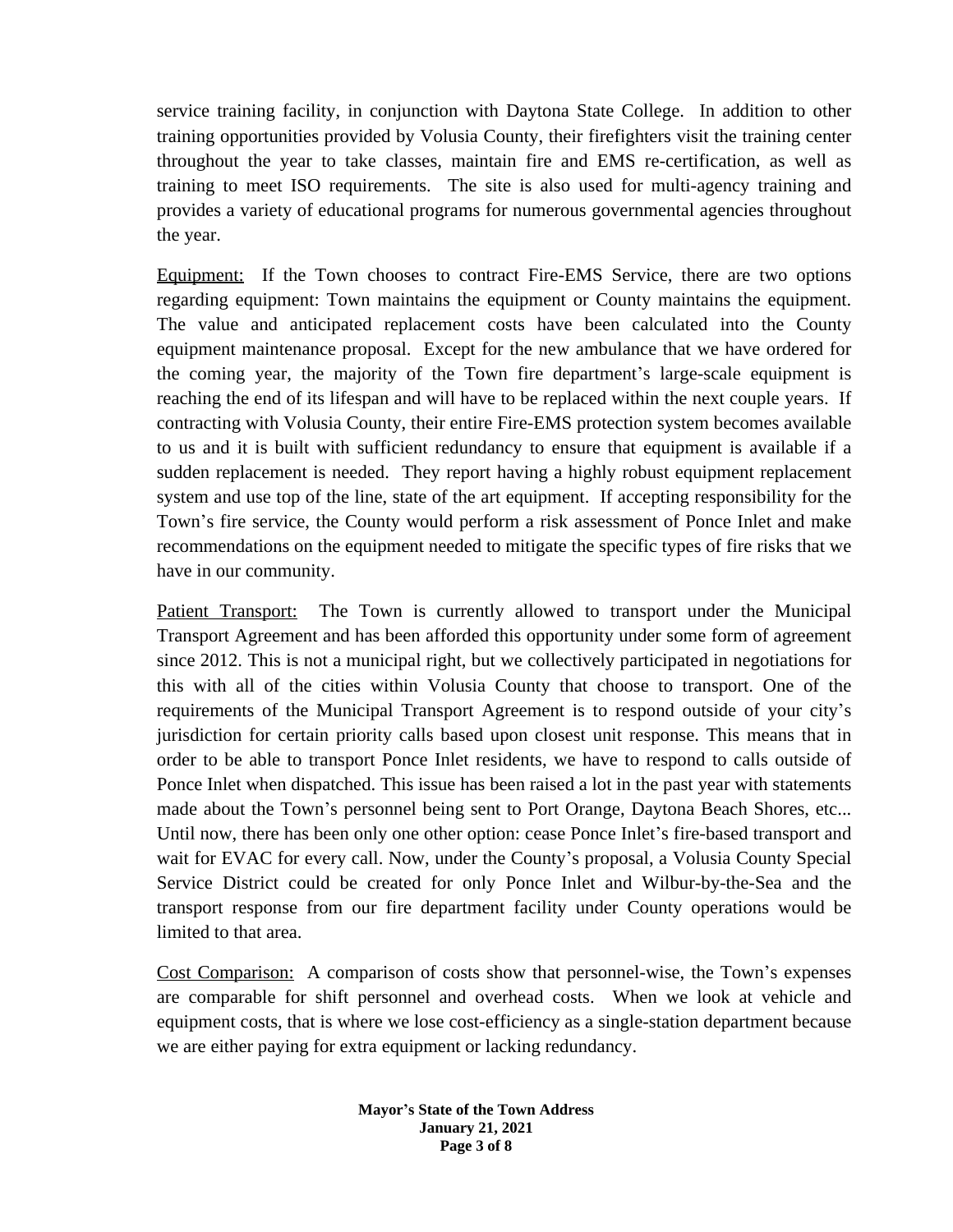service training facility, in conjunction with Daytona State College. In addition to other training opportunities provided by Volusia County, their firefighters visit the training center throughout the year to take classes, maintain fire and EMS re-certification, as well as training to meet ISO requirements. The site is also used for multi-agency training and provides a variety of educational programs for numerous governmental agencies throughout the year.

Equipment: If the Town chooses to contract Fire-EMS Service, there are two options regarding equipment: Town maintains the equipment or County maintains the equipment. The value and anticipated replacement costs have been calculated into the County equipment maintenance proposal. Except for the new ambulance that we have ordered for the coming year, the majority of the Town fire department's large-scale equipment is reaching the end of its lifespan and will have to be replaced within the next couple years. If contracting with Volusia County, their entire Fire-EMS protection system becomes available to us and it is built with sufficient redundancy to ensure that equipment is available if a sudden replacement is needed. They report having a highly robust equipment replacement system and use top of the line, state of the art equipment. If accepting responsibility for the Town's fire service, the County would perform a risk assessment of Ponce Inlet and make recommendations on the equipment needed to mitigate the specific types of fire risks that we have in our community.

Patient Transport: The Town is currently allowed to transport under the Municipal Transport Agreement and has been afforded this opportunity under some form of agreement since 2012. This is not a municipal right, but we collectively participated in negotiations for this with all of the cities within Volusia County that choose to transport. One of the requirements of the Municipal Transport Agreement is to respond outside of your city's jurisdiction for certain priority calls based upon closest unit response. This means that in order to be able to transport Ponce Inlet residents, we have to respond to calls outside of Ponce Inlet when dispatched. This issue has been raised a lot in the past year with statements made about the Town's personnel being sent to Port Orange, Daytona Beach Shores, etc... Until now, there has been only one other option: cease Ponce Inlet's fire-based transport and wait for EVAC for every call. Now, under the County's proposal, a Volusia County Special Service District could be created for only Ponce Inlet and Wilbur-by-the-Sea and the transport response from our fire department facility under County operations would be limited to that area.

Cost Comparison: A comparison of costs show that personnel-wise, the Town's expenses are comparable for shift personnel and overhead costs. When we look at vehicle and equipment costs, that is where we lose cost-efficiency as a single-station department because we are either paying for extra equipment or lacking redundancy.

> **Mayor's State of the Town Address January 21, 2021 Page 3 of 8**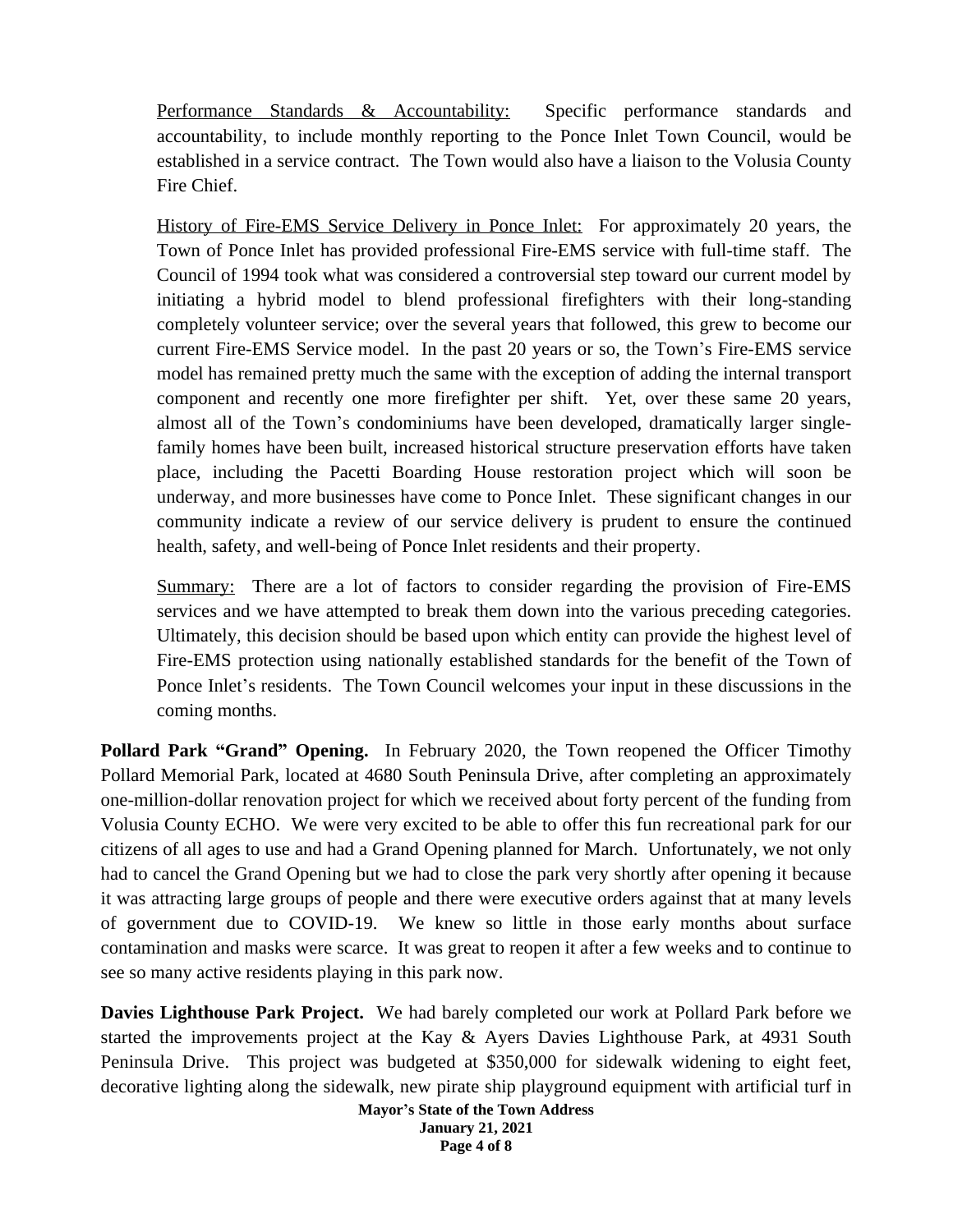Performance Standards & Accountability: Specific performance standards and accountability, to include monthly reporting to the Ponce Inlet Town Council, would be established in a service contract. The Town would also have a liaison to the Volusia County Fire Chief.

History of Fire-EMS Service Delivery in Ponce Inlet: For approximately 20 years, the Town of Ponce Inlet has provided professional Fire-EMS service with full-time staff. The Council of 1994 took what was considered a controversial step toward our current model by initiating a hybrid model to blend professional firefighters with their long-standing completely volunteer service; over the several years that followed, this grew to become our current Fire-EMS Service model. In the past 20 years or so, the Town's Fire-EMS service model has remained pretty much the same with the exception of adding the internal transport component and recently one more firefighter per shift. Yet, over these same 20 years, almost all of the Town's condominiums have been developed, dramatically larger singlefamily homes have been built, increased historical structure preservation efforts have taken place, including the Pacetti Boarding House restoration project which will soon be underway, and more businesses have come to Ponce Inlet. These significant changes in our community indicate a review of our service delivery is prudent to ensure the continued health, safety, and well-being of Ponce Inlet residents and their property.

Summary: There are a lot of factors to consider regarding the provision of Fire-EMS services and we have attempted to break them down into the various preceding categories. Ultimately, this decision should be based upon which entity can provide the highest level of Fire-EMS protection using nationally established standards for the benefit of the Town of Ponce Inlet's residents. The Town Council welcomes your input in these discussions in the coming months.

**Pollard Park "Grand" Opening.** In February 2020, the Town reopened the Officer Timothy Pollard Memorial Park, located at 4680 South Peninsula Drive, after completing an approximately one-million-dollar renovation project for which we received about forty percent of the funding from Volusia County ECHO. We were very excited to be able to offer this fun recreational park for our citizens of all ages to use and had a Grand Opening planned for March. Unfortunately, we not only had to cancel the Grand Opening but we had to close the park very shortly after opening it because it was attracting large groups of people and there were executive orders against that at many levels of government due to COVID-19. We knew so little in those early months about surface contamination and masks were scarce. It was great to reopen it after a few weeks and to continue to see so many active residents playing in this park now.

**Davies Lighthouse Park Project.** We had barely completed our work at Pollard Park before we started the improvements project at the Kay & Ayers Davies Lighthouse Park, at 4931 South Peninsula Drive. This project was budgeted at \$350,000 for sidewalk widening to eight feet, decorative lighting along the sidewalk, new pirate ship playground equipment with artificial turf in

> **Mayor's State of the Town Address January 21, 2021 Page 4 of 8**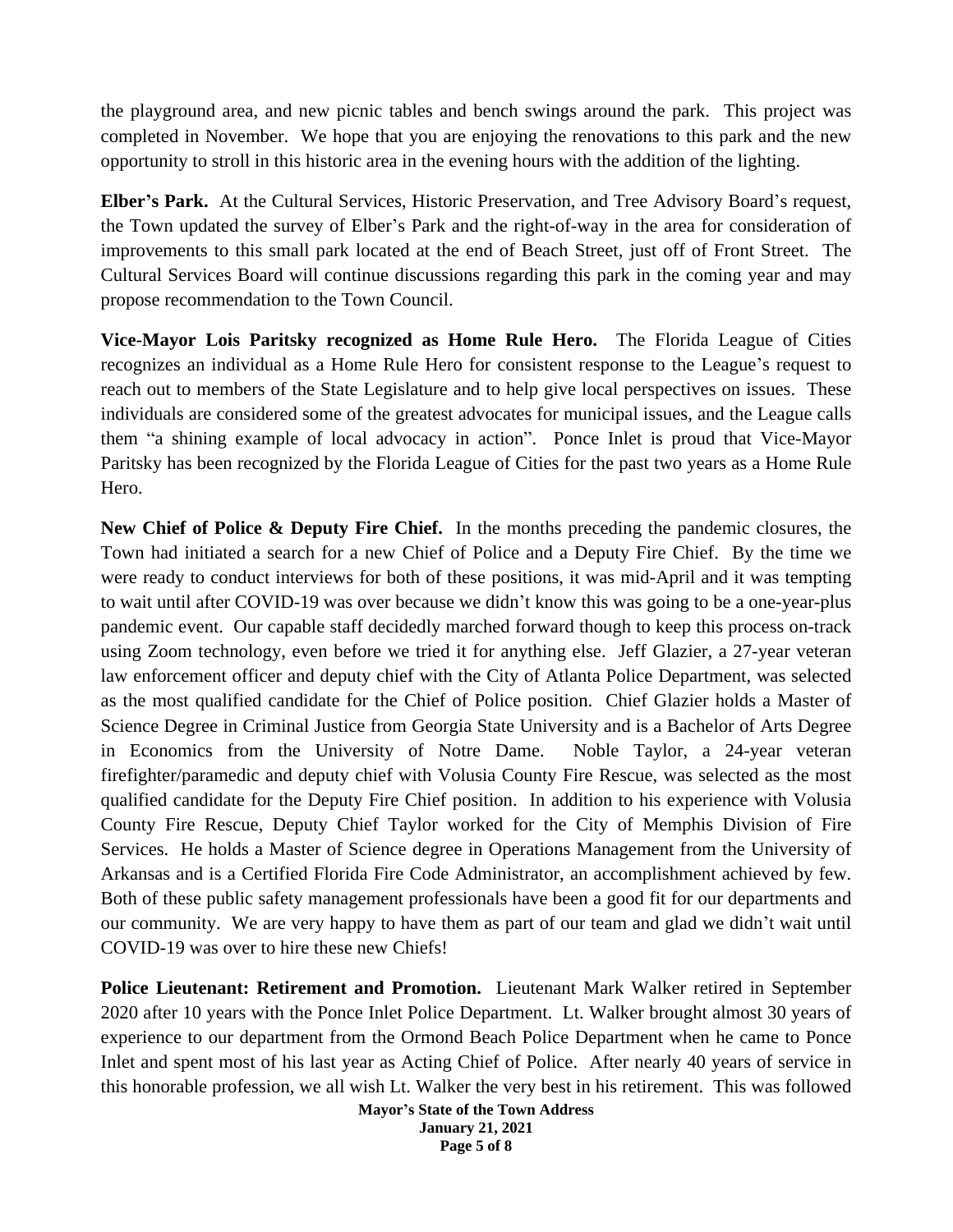the playground area, and new picnic tables and bench swings around the park. This project was completed in November. We hope that you are enjoying the renovations to this park and the new opportunity to stroll in this historic area in the evening hours with the addition of the lighting.

**Elber's Park.** At the Cultural Services, Historic Preservation, and Tree Advisory Board's request, the Town updated the survey of Elber's Park and the right-of-way in the area for consideration of improvements to this small park located at the end of Beach Street, just off of Front Street. The Cultural Services Board will continue discussions regarding this park in the coming year and may propose recommendation to the Town Council.

**Vice-Mayor Lois Paritsky recognized as Home Rule Hero.** The Florida League of Cities recognizes an individual as a Home Rule Hero for consistent response to the League's request to reach out to members of the State Legislature and to help give local perspectives on issues. These individuals are considered some of the greatest advocates for municipal issues, and the League calls them "a shining example of local advocacy in action". Ponce Inlet is proud that Vice-Mayor Paritsky has been recognized by the Florida League of Cities for the past two years as a Home Rule Hero.

**New Chief of Police & Deputy Fire Chief.** In the months preceding the pandemic closures, the Town had initiated a search for a new Chief of Police and a Deputy Fire Chief. By the time we were ready to conduct interviews for both of these positions, it was mid-April and it was tempting to wait until after COVID-19 was over because we didn't know this was going to be a one-year-plus pandemic event. Our capable staff decidedly marched forward though to keep this process on-track using Zoom technology, even before we tried it for anything else. Jeff Glazier, a 27-year veteran law enforcement officer and deputy chief with the City of Atlanta Police Department, was selected as the most qualified candidate for the Chief of Police position. Chief Glazier holds a Master of Science Degree in Criminal Justice from Georgia State University and is a Bachelor of Arts Degree in Economics from the University of Notre Dame. Noble Taylor, a 24-year veteran firefighter/paramedic and deputy chief with Volusia County Fire Rescue, was selected as the most qualified candidate for the Deputy Fire Chief position. In addition to his experience with Volusia County Fire Rescue, Deputy Chief Taylor worked for the City of Memphis Division of Fire Services. He holds a Master of Science degree in Operations Management from the University of Arkansas and is a Certified Florida Fire Code Administrator, an accomplishment achieved by few. Both of these public safety management professionals have been a good fit for our departments and our community. We are very happy to have them as part of our team and glad we didn't wait until COVID-19 was over to hire these new Chiefs!

**Police Lieutenant: Retirement and Promotion.** Lieutenant Mark Walker retired in September 2020 after 10 years with the Ponce Inlet Police Department. Lt. Walker brought almost 30 years of experience to our department from the Ormond Beach Police Department when he came to Ponce Inlet and spent most of his last year as Acting Chief of Police. After nearly 40 years of service in this honorable profession, we all wish Lt. Walker the very best in his retirement. This was followed

> **Mayor's State of the Town Address January 21, 2021 Page 5 of 8**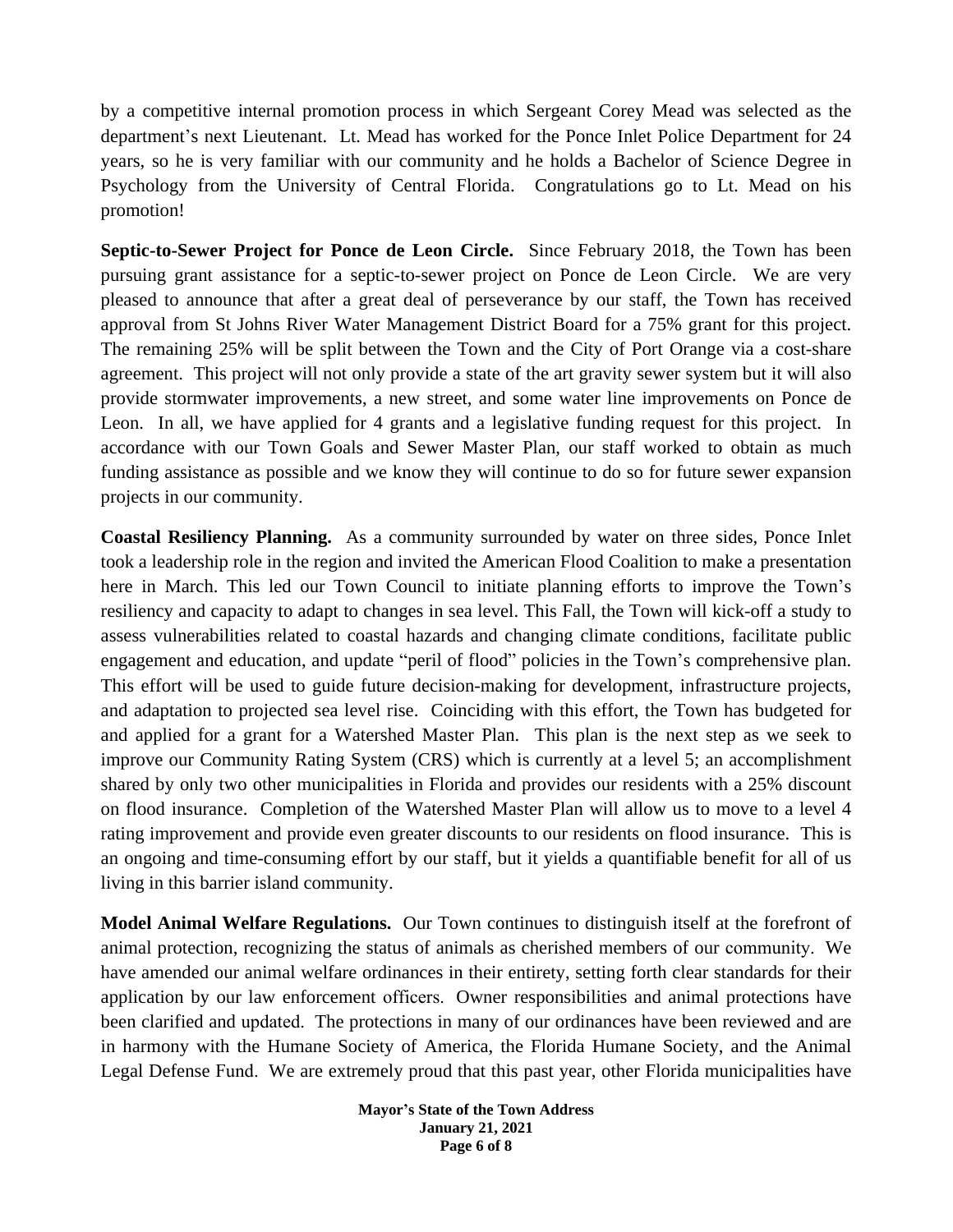by a competitive internal promotion process in which Sergeant Corey Mead was selected as the department's next Lieutenant. Lt. Mead has worked for the Ponce Inlet Police Department for 24 years, so he is very familiar with our community and he holds a Bachelor of Science Degree in Psychology from the University of Central Florida. Congratulations go to Lt. Mead on his promotion!

**Septic-to-Sewer Project for Ponce de Leon Circle.** Since February 2018, the Town has been pursuing grant assistance for a septic-to-sewer project on Ponce de Leon Circle. We are very pleased to announce that after a great deal of perseverance by our staff, the Town has received approval from St Johns River Water Management District Board for a 75% grant for this project. The remaining 25% will be split between the Town and the City of Port Orange via a cost-share agreement. This project will not only provide a state of the art gravity sewer system but it will also provide stormwater improvements, a new street, and some water line improvements on Ponce de Leon. In all, we have applied for 4 grants and a legislative funding request for this project. In accordance with our Town Goals and Sewer Master Plan, our staff worked to obtain as much funding assistance as possible and we know they will continue to do so for future sewer expansion projects in our community.

**Coastal Resiliency Planning.** As a community surrounded by water on three sides, Ponce Inlet took a leadership role in the region and invited the American Flood Coalition to make a presentation here in March. This led our Town Council to initiate planning efforts to improve the Town's resiliency and capacity to adapt to changes in sea level. This Fall, the Town will kick-off a study to assess vulnerabilities related to coastal hazards and changing climate conditions, facilitate public engagement and education, and update "peril of flood" policies in the Town's comprehensive plan. This effort will be used to guide future decision-making for development, infrastructure projects, and adaptation to projected sea level rise. Coinciding with this effort, the Town has budgeted for and applied for a grant for a Watershed Master Plan. This plan is the next step as we seek to improve our Community Rating System (CRS) which is currently at a level 5; an accomplishment shared by only two other municipalities in Florida and provides our residents with a 25% discount on flood insurance. Completion of the Watershed Master Plan will allow us to move to a level 4 rating improvement and provide even greater discounts to our residents on flood insurance. This is an ongoing and time-consuming effort by our staff, but it yields a quantifiable benefit for all of us living in this barrier island community.

**Model Animal Welfare Regulations.** Our Town continues to distinguish itself at the forefront of animal protection, recognizing the status of animals as cherished members of our community. We have amended our animal welfare ordinances in their entirety, setting forth clear standards for their application by our law enforcement officers. Owner responsibilities and animal protections have been clarified and updated. The protections in many of our ordinances have been reviewed and are in harmony with the Humane Society of America, the Florida Humane Society, and the Animal Legal Defense Fund. We are extremely proud that this past year, other Florida municipalities have

> **Mayor's State of the Town Address January 21, 2021 Page 6 of 8**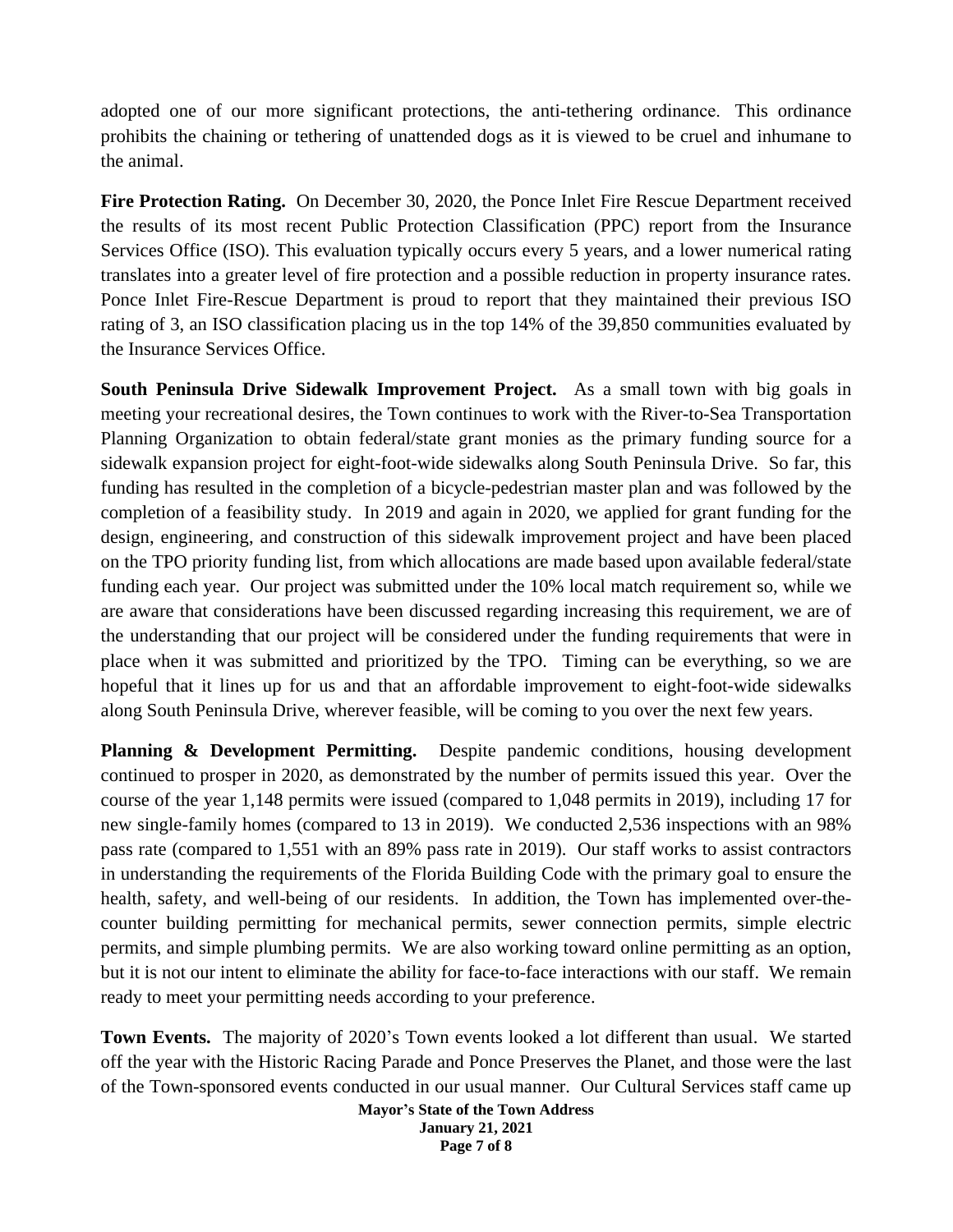adopted one of our more significant protections, the anti-tethering ordinance. This ordinance prohibits the chaining or tethering of unattended dogs as it is viewed to be cruel and inhumane to the animal.

**Fire Protection Rating.** On December 30, 2020, the Ponce Inlet Fire Rescue Department received the results of its most recent Public Protection Classification (PPC) report from the Insurance Services Office (ISO). This evaluation typically occurs every 5 years, and a lower numerical rating translates into a greater level of fire protection and a possible reduction in property insurance rates. Ponce Inlet Fire-Rescue Department is proud to report that they maintained their previous ISO rating of 3, an ISO classification placing us in the top 14% of the 39,850 communities evaluated by the Insurance Services Office.

**South Peninsula Drive Sidewalk Improvement Project.** As a small town with big goals in meeting your recreational desires, the Town continues to work with the River-to-Sea Transportation Planning Organization to obtain federal/state grant monies as the primary funding source for a sidewalk expansion project for eight-foot-wide sidewalks along South Peninsula Drive. So far, this funding has resulted in the completion of a bicycle-pedestrian master plan and was followed by the completion of a feasibility study. In 2019 and again in 2020, we applied for grant funding for the design, engineering, and construction of this sidewalk improvement project and have been placed on the TPO priority funding list, from which allocations are made based upon available federal/state funding each year. Our project was submitted under the 10% local match requirement so, while we are aware that considerations have been discussed regarding increasing this requirement, we are of the understanding that our project will be considered under the funding requirements that were in place when it was submitted and prioritized by the TPO. Timing can be everything, so we are hopeful that it lines up for us and that an affordable improvement to eight-foot-wide sidewalks along South Peninsula Drive, wherever feasible, will be coming to you over the next few years.

**Planning & Development Permitting.** Despite pandemic conditions, housing development continued to prosper in 2020, as demonstrated by the number of permits issued this year. Over the course of the year 1,148 permits were issued (compared to 1,048 permits in 2019), including 17 for new single-family homes (compared to 13 in 2019). We conducted 2,536 inspections with an 98% pass rate (compared to 1,551 with an 89% pass rate in 2019). Our staff works to assist contractors in understanding the requirements of the Florida Building Code with the primary goal to ensure the health, safety, and well-being of our residents. In addition, the Town has implemented over-thecounter building permitting for mechanical permits, sewer connection permits, simple electric permits, and simple plumbing permits. We are also working toward online permitting as an option, but it is not our intent to eliminate the ability for face-to-face interactions with our staff. We remain ready to meet your permitting needs according to your preference.

**Town Events.** The majority of 2020's Town events looked a lot different than usual. We started off the year with the Historic Racing Parade and Ponce Preserves the Planet, and those were the last of the Town-sponsored events conducted in our usual manner. Our Cultural Services staff came up

> **Mayor's State of the Town Address January 21, 2021 Page 7 of 8**